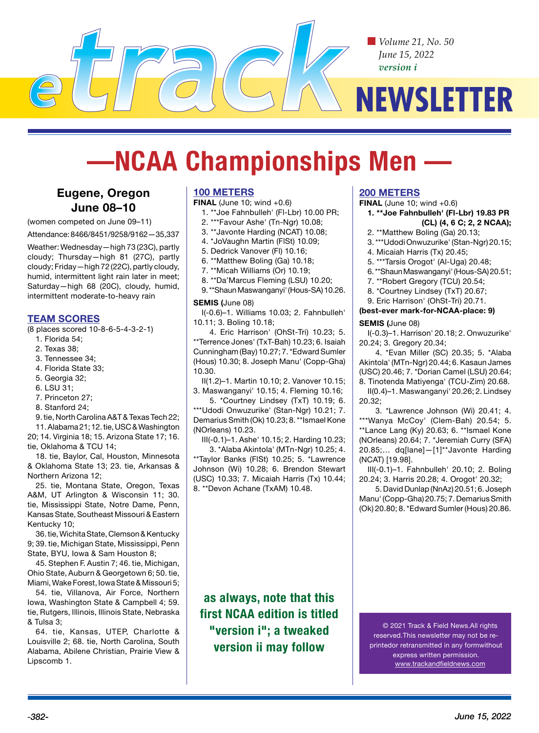*Volume 21, No. 50 June 15, 2022 version i*

# **NEWSLETTER**

# **—NCAA Championships Men —**

# **Eugene, Oregon June 08–10**

(women competed on June 09–11)

Attendance: 8466/8451/9258/9162—35,337

Weather: Wednesday—high 73 (23C), partly cloudy; Thursday—high 81 (27C), partly cloudy; Friday—high 72 (22C), partly cloudy, humid, intermittent light rain later in meet; Saturday—high 68 (20C), cloudy, humid, intermittent moderate-to-heavy rain

## **TEAM SCORES**

(8 places scored 10-8-6-5-4-3-2-1)

- 1. Florida 54;
- 2. Texas 38;
- 3. Tennessee 34;
- 4. Florida State 33;
- 5. Georgia 32;
- 6. LSU 31;
- 7. Princeton 27;
- 8. Stanford 24;

9. tie, North Carolina A&T & Texas Tech 22;

11. Alabama 21; 12. tie, USC & Washington 20; 14. Virginia 18; 15. Arizona State 17; 16. tie, Oklahoma & TCU 14;

18. tie, Baylor, Cal, Houston, Minnesota & Oklahoma State 13; 23. tie, Arkansas & Northern Arizona 12;

25. tie, Montana State, Oregon, Texas A&M, UT Arlington & Wisconsin 11; 30. tie, Mississippi State, Notre Dame, Penn, Kansas State, Southeast Missouri & Eastern Kentucky 10;

36. tie, Wichita State, Clemson & Kentucky 9; 39. tie, Michigan State, Mississippi, Penn State, BYU, Iowa & Sam Houston 8;

45. Stephen F. Austin 7; 46. tie, Michigan, Ohio State, Auburn & Georgetown 6; 50. tie, Miami, Wake Forest, Iowa State & Missouri 5;

54. tie, Villanova, Air Force, Northern Iowa, Washington State & Campbell 4; 59. tie, Rutgers, Illinois, Illinois State, Nebraska & Tulsa 3;

64. tie, Kansas, UTEP, Charlotte & Louisville 2; 68. tie, North Carolina, South Alabama, Abilene Christian, Prairie View & Lipscomb 1.

## **100 METERS**

**FINAL** (June 10; wind +0.6)

- 1. \*\*Joe Fahnbulleh' (Fl-Lbr) 10.00 PR;
- 2. \*\*\*Favour Ashe' (Tn-Ngr) 10.08;
- 3. \*\*Javonte Harding (NCAT) 10.08;
- 4. \*JoVaughn Martin (FlSt) 10.09;
- 5. Dedrick Vanover (Fl) 10.16;
- 6. \*\*Matthew Boling (Ga) 10.18;
- 7. \*\*Micah Williams (Or) 10.19;
- 8. \*\*Da'Marcus Fleming (LSU) 10.20;
- 9. \*\*Shaun Maswanganyi' (Hous-SA) 10.26.

#### **SEMIS (**June 08)

I(-0.6)–1. Williams 10.03; 2. Fahnbulleh' 10.11; 3. Boling 10.18;

4. Eric Harrison' (OhSt-Tri) 10.23; 5. \*\*Terrence Jones' (TxT-Bah) 10.23; 6. Isaiah Cunningham (Bay) 10.27; 7. \*Edward Sumler (Hous) 10.30; 8. Joseph Manu' (Copp-Gha) 10.30.

II(1.2)–1. Martin 10.10; 2. Vanover 10.15; 3. Maswanganyi' 10.15; 4. Fleming 10.16;

5. \*Courtney Lindsey (TxT) 10.19; 6. \*\*\*Udodi Onwuzurike' (Stan-Ngr) 10.21; 7. Demarius Smith (Ok) 10.23; 8. \*\*Ismael Kone (NOrleans) 10.23.

III(-0.1)–1. Ashe' 10.15; 2. Harding 10.23; 3. \*Alaba Akintola' (MTn-Ngr) 10.25; 4. \*\*Taylor Banks (FlSt) 10.25; 5. \*Lawrence Johnson (Wi) 10.28; 6. Brendon Stewart (USC) 10.33; 7. Micaiah Harris (Tx) 10.44; 8. \*\*Devon Achane (TxAM) 10.48.

## **200 METERS**

**FINAL** (June 10; wind +0.6)

- **1. \*\*Joe Fahnbulleh' (Fl-Lbr) 19.83 PR (CL) (4, 6 C; 2, 2 NCAA);**
- 2. \*\*Matthew Boling (Ga) 20.13;
- 3. \*\*\*Udodi Onwuzurike' (Stan-Ngr) 20.15;
- 4. Micaiah Harris (Tx) 20.45;
- 5. \*\*\*Tarsis Orogot' (Al-Uga) 20.48;
- 6. \*\*Shaun Maswanganyi' (Hous-SA) 20.51;
- 7. \*\*Robert Gregory (TCU) 20.54;
- 8. \*Courtney Lindsey (TxT) 20.67;
- 9. Eric Harrison' (OhSt-Tri) 20.71.

#### **(best-ever mark-for-NCAA-place: 9)**

#### **SEMIS (**June 08)

I(-0.3)–1. Harrison' 20.18; 2. Onwuzurike' 20.24; 3. Gregory 20.34;

4. \*Evan Miller (SC) 20.35; 5. \*Alaba Akintola' (MTn-Ngr) 20.44; 6. Kasaun James (USC) 20.46; 7. \*Dorian Camel (LSU) 20.64; 8. Tinotenda Matiyenga' (TCU-Zim) 20.68.

II(0.4)–1. Maswanganyi' 20.26; 2. Lindsey 20.32;

3. \*Lawrence Johnson (Wi) 20.41; 4. \*\*\*Wanya McCoy' (Clem-Bah) 20.54; 5. \*\*Lance Lang (Ky) 20.63; 6. \*\*Ismael Kone (NOrleans) 20.64; 7. \*Jeremiah Curry (SFA) 20.85;… dq[lane]—[1]\*\*Javonte Harding (NCAT) [19.98].

III(-0.1)–1. Fahnbulleh' 20.10; 2. Boling 20.24; 3. Harris 20.28; 4. Orogot' 20.32;

5. David Dunlap (NnAz) 20.51; 6. Joseph Manu' (Copp-Gha) 20.75; 7. Demarius Smith (Ok) 20.80; 8. \*Edward Sumler (Hous) 20.86.

**as always, note that this first NCAA edition is titled "version i"; a tweaked version ii may follow**

© 2021 Track & Field News.All rights reserved.This newsletter may not be reprintedor retransmitted in any formwithout express written permission. www.trackandfieldnews.com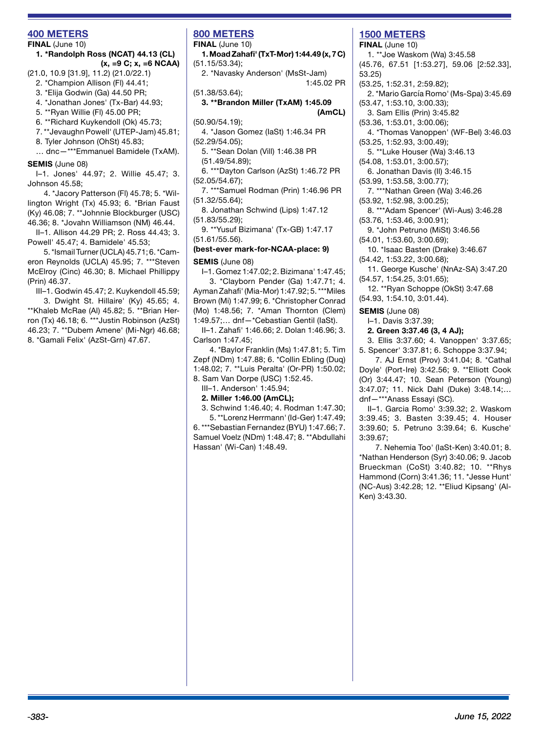## **400 METERS**

#### **FINAL** (June 10)

#### **1. \*Randolph Ross (NCAT) 44.13 (CL) (x, =9 C; x, =6 NCAA)**

(21.0, 10.9 [31.9], 11.2) (21.0/22.1)

- 2. \*Champion Allison (Fl) 44.41;
- 3. \*Elija Godwin (Ga) 44.50 PR;
- 4. \*Jonathan Jones' (Tx-Bar) 44.93;
- 5. \*\*Ryan Willie (Fl) 45.00 PR;
- 6. \*\*Richard Kuykendoll (Ok) 45.73;
- 7. \*\*Jevaughn Powell' (UTEP-Jam) 45.81;
- 8. Tyler Johnson (OhSt) 45.83;

… dnc—\*\*\*Emmanuel Bamidele (TxAM).

#### **SEMIS** (June 08)

I–1. Jones' 44.97; 2. Willie 45.47; 3. Johnson 45.58;

4. \*Jacory Patterson (Fl) 45.78; 5. \*Willington Wright (Tx) 45.93; 6. \*Brian Faust (Ky) 46.08; 7. \*\*Johnnie Blockburger (USC) 46.36; 8. \*Jovahn Williamson (NM) 46.44.

II–1. Allison 44.29 PR; 2. Ross 44.43; 3. Powell' 45.47; 4. Bamidele' 45.53;

5. \*Ismail Turner (UCLA) 45.71; 6. \*Cameron Reynolds (UCLA) 45.95; 7. \*\*\*Steven McElroy (Cinc) 46.30; 8. Michael Phillippy (Prin) 46.37.

III–1. Godwin 45.47; 2. Kuykendoll 45.59; 3. Dwight St. Hillaire' (Ky) 45.65; 4. \*\*Khaleb McRae (Al) 45.82; 5. \*\*Brian Herron (Tx) 46.18; 6. \*\*\*Justin Robinson (AzSt) 46.23; 7. \*\*Dubem Amene' (Mi-Ngr) 46.68; 8. \*Gamali Felix' (AzSt-Grn) 47.67.

# **800 METERS**

**FINAL** (June 10)

**1. Moad Zahafi' (TxT-Mor) 1:44.49 (x, 7 C)**  (51.15/53.34);

2. \*Navasky Anderson' (MsSt-Jam) 1:45.02 PR

(51.38/53.64);

#### **3. \*\*Brandon Miller (TxAM) 1:45.09 (AmCL)**

(50.90/54.19);

4. \*Jason Gomez (IaSt) 1:46.34 PR (52.29/54.05);

5. \*\*Sean Dolan (Vill) 1:46.38 PR (51.49/54.89);

- 6. \*\*\*Dayton Carlson (AzSt) 1:46.72 PR (52.05/54.67);
- 7. \*\*\*Samuel Rodman (Prin) 1:46.96 PR (51.32/55.64);
- 8. Jonathan Schwind (Lips) 1:47.12 (51.83/55.29);
- 9. \*\*Yusuf Bizimana' (Tx-GB) 1:47.17 (51.61/55.56).

# **(best-ever mark-for-NCAA-place: 9)**

**SEMIS** (June 08)

I–1. Gomez 1:47.02; 2. Bizimana' 1:47.45;

3. \*Clayborn Pender (Ga) 1:47.71; 4. Ayman Zahafi' (Mia-Mor) 1:47.92; 5. \*\*\*Miles Brown (Mi) 1:47.99; 6. \*Christopher Conrad (Mo) 1:48.56; 7. \*Aman Thornton (Clem) 1:49.57;… dnf—\*Cebastian Gentil (IaSt).

II–1. Zahafi' 1:46.66; 2. Dolan 1:46.96; 3. Carlson 1:47.45;

4. \*Baylor Franklin (Ms) 1:47.81; 5. Tim Zepf (NDm) 1:47.88; 6. \*Collin Ebling (Duq) 1:48.02; 7. \*\*Luis Peralta' (Or-PR) 1:50.02; 8. Sam Van Dorpe (USC) 1:52.45.

III–1. Anderson' 1:45.94;

#### **2. Miller 1:46.00 (AmCL);**

3. Schwind 1:46.40; 4. Rodman 1:47.30;

5. \*\*Lorenz Herrmann' (Id-Ger) 1:47.49; 6. \*\*\*Sebastian Fernandez (BYU) 1:47.66; 7. Samuel Voelz (NDm) 1:48.47; 8. \*\*Abdullahi Hassan' (Wi-Can) 1:48.49.

## **1500 METERS**

**FINAL** (June 10) 1. \*\*Joe Waskom (Wa) 3:45.58 (45.76, 67.51 [1:53.27], 59.06 [2:52.33], 53.25) (53.25, 1:52.31, 2:59.82); 2. \*Mario García Romo' (Ms-Spa) 3:45.69 (53.47, 1:53.10, 3:00.33);

3. Sam Ellis (Prin) 3:45.82

(53.36, 1:53.01, 3:00.06);

4. \*Thomas Vanoppen' (WF-Bel) 3:46.03 (53.25, 1:52.93, 3:00.49);

5. \*\*Luke Houser (Wa) 3:46.13

(54.08, 1:53.01, 3:00.57);

6. Jonathan Davis (Il) 3:46.15

(53.99, 1:53.58, 3:00.77);

7. \*\*\*Nathan Green (Wa) 3:46.26

(53.92, 1:52.98, 3:00.25);

8. \*\*\*Adam Spencer' (Wi-Aus) 3:46.28 (53.76, 1:53.46, 3:00.91);

9. \*John Petruno (MiSt) 3:46.56

(54.01, 1:53.60, 3:00.69);

10. \*Isaac Basten (Drake) 3:46.67 (54.42, 1:53.22, 3:00.68);

11. George Kusche' (NnAz-SA) 3:47.20

(54.57, 1:54.25, 3:01.65);

12. \*\*Ryan Schoppe (OkSt) 3:47.68 (54.93, 1:54.10, 3:01.44).

**SEMIS** (June 08)

I–1. Davis 3:37.39;

**2. Green 3:37.46 (3, 4 AJ);** 

3. Ellis 3:37.60; 4. Vanoppen' 3:37.65; 5. Spencer' 3:37.81; 6. Schoppe 3:37.94;

7. AJ Ernst (Prov) 3:41.04; 8. \*Cathal Doyle' (Port-Ire) 3:42.56; 9. \*\*Elliott Cook (Or) 3:44.47; 10. Sean Peterson (Young) 3:47.07; 11. Nick Dahl (Duke) 3:48.14;… dnf—\*\*\*Anass Essayi (SC).

II–1. Garcia Romo' 3:39.32; 2. Waskom 3:39.45; 3. Basten 3:39.45; 4. Houser 3:39.60; 5. Petruno 3:39.64; 6. Kusche' 3:39.67;

7. Nehemia Too' (IaSt-Ken) 3:40.01; 8. \*Nathan Henderson (Syr) 3:40.06; 9. Jacob Brueckman (CoSt) 3:40.82; 10. \*\*Rhys Hammond (Corn) 3:41.36; 11. \*Jesse Hunt' (NC-Aus) 3:42.28; 12. \*\*Eliud Kipsang' (Al-Ken) 3:43.30.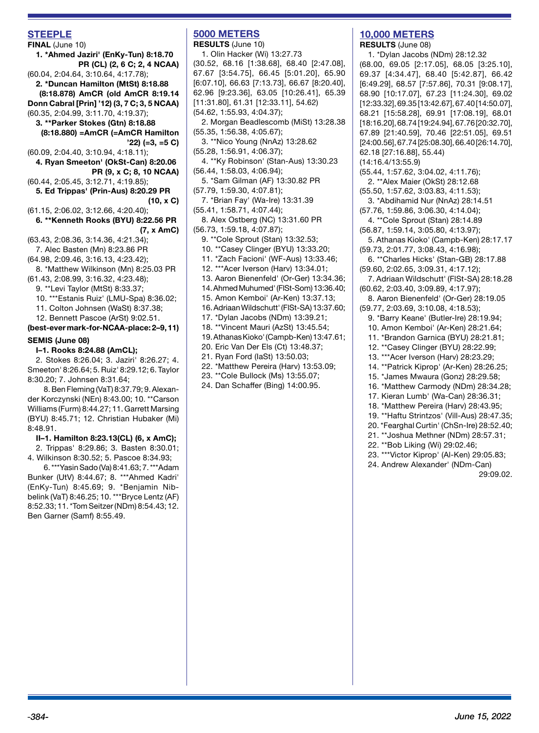## **STEEPLE**

**FINAL** (June 10) **1. \*Ahmed Jaziri' (EnKy-Tun) 8:18.70 PR (CL) (2, 6 C; 2, 4 NCAA)** (60.04, 2:04.64, 3:10.64, 4:17.78); **2. \*Duncan Hamilton (MtSt) 8:18.88 (8:18.878) AmCR (old AmCR 8:19.14 Donn Cabral [Prin] '12) (3, 7 C; 3, 5 NCAA)** (60.35, 2:04.99, 3:11.70, 4:19.37); **3. \*\*Parker Stokes (Gtn) 8:18.88 (8:18.880) =AmCR (=AmCR Hamilton '22) (=3, =5 C)** (60.09, 2:04.40, 3:10.94, 4:18.11); **4. Ryan Smeeton' (OkSt-Can) 8:20.06 PR (9, x C; 8, 10 NCAA)** (60.44, 2:05.45, 3:12.71, 4:19.85); **5. Ed Trippas' (Prin-Aus) 8:20.29 PR (10, x C)** (61.15, 2:06.02, 3:12.66, 4:20.40); **6. \*\*Kenneth Rooks (BYU) 8:22.56 PR (7, x AmC)**  (63.43, 2:08.36, 3:14.36, 4:21.34); 7. Alec Basten (Mn) 8:23.86 PR (64.98, 2:09.46, 3:16.13, 4:23.42); 8. \*Matthew Wilkinson (Mn) 8:25.03 PR (61.43, 2:08.99, 3:16.32, 4:23.48); 9. \*\*Levi Taylor (MtSt) 8:33.37; 10. \*\*\*Estanis Ruiz' (LMU-Spa) 8:36.02; 11. Colton Johnsen (WaSt) 8:37.38; 12. Bennett Pascoe (ArSt) 9:02.51. **(best-ever mark-for-NCAA-place: 2–9, 11) SEMIS (June 08) I–1. Rooks 8:24.88 (AmCL);** 

2. Stokes 8:26.04; 3. Jaziri' 8:26.27; 4. Smeeton' 8:26.64; 5. Ruiz' 8:29.12; 6. Taylor 8:30.20; 7. Johnsen 8:31.64;

8. Ben Fleming (VaT) 8:37.79; 9. Alexander Korczynski (NEn) 8:43.00; 10. \*\*Carson Williams (Furm) 8:44.27; 11. Garrett Marsing (BYU) 8:45.71; 12. Christian Hubaker (Mi) 8:48.91.

#### **II–1. Hamilton 8:23.13(CL) (6, x AmC);**

2. Trippas' 8:29.86; 3. Basten 8:30.01; 4. Wilkinson 8:30.52; 5. Pascoe 8:34.93;

6. \*\*\*Yasin Sado (Va) 8:41.63; 7. \*\*\*Adam Bunker (UtV) 8:44.67; 8. \*\*\*Ahmed Kadri' (EnKy-Tun) 8:45.69; 9. \*Benjamin Nibbelink (VaT) 8:46.25; 10. \*\*\*Bryce Lentz (AF) 8:52.33; 11. \*Tom Seitzer (NDm) 8:54.43; 12. Ben Garner (Samf) 8:55.49.

# **5000 METERS**

**RESULTS** (June 10) 1. Olin Hacker (Wi) 13:27.73 (30.52, 68.16 [1:38.68], 68.40 [2:47.08], 67.67 [3:54.75], 66.45 [5:01.20], 65.90 [6:07.10], 66.63 [7:13.73], 66.67 [8:20.40], 62.96 [9:23.36], 63.05 [10:26.41], 65.39 [11:31.80], 61.31 [12:33.11], 54.62) (54.62, 1:55.93, 4:04.37);

2. Morgan Beadlescomb (MiSt) 13:28.38 (55.35, 1:56.38, 4:05.67);

3. \*\*Nico Young (NnAz) 13:28.62 (55.28, 1:56.91, 4:06.37);

4. \*\*Ky Robinson' (Stan-Aus) 13:30.23 (56.44, 1:58.03, 4:06.94);

- 5. \*Sam Gilman (AF) 13:30.82 PR (57.79, 1:59.30, 4:07.81);
- 7. \*Brian Fay' (Wa-Ire) 13:31.39

(55.41, 1:58.71, 4:07.44);

8. Alex Ostberg (NC) 13:31.60 PR (56.73, 1:59.18, 4:07.87);

9. \*\*Cole Sprout (Stan) 13:32.53;

10. \*\*Casey Clinger (BYU) 13:33.20;

11. \*Zach Facioni' (WF-Aus) 13:33.46;

- 12. \*\*\*Acer Iverson (Harv) 13:34.01;
- 13. Aaron Bienenfeld' (Or-Ger) 13:34.36;

14. Ahmed Muhumed' (FlSt-Som) 13:36.40;

- 15. Amon Kemboi' (Ar-Ken) 13:37.13;
- 16. Adriaan Wildschutt' (FlSt-SA) 13:37.60;
- 17. \*Dylan Jacobs (NDm) 13:39.21;
- 18. \*\*Vincent Mauri (AzSt) 13:45.54;
- 19. Athanas Kioko' (Campb-Ken) 13:47.61;
- 20. Eric Van Der Els (Ct) 13:48.37;
- 21. Ryan Ford (IaSt) 13:50.03;
- 22. \*Matthew Pereira (Harv) 13:53.09;
- 23. \*\*Cole Bullock (Ms) 13:55.07;
- 24. Dan Schaffer (Bing) 14:00.95.

#### **10,000 METERS RESULTS** (June 08)

1. \*Dylan Jacobs (NDm) 28:12.32 (68.00, 69.05 [2:17.05], 68.05 [3:25.10], 69.37 [4:34.47], 68.40 [5:42.87], 66.42 [6:49.29], 68.57 [7:57.86], 70.31 [9:08.17], 68.90 [10:17.07], 67.23 [11:24.30], 69.02 [12:33.32], 69.35 [13:42.67], 67.40 [14:50.07], 68.21 [15:58.28], 69.91 [17:08.19], 68.01 [18:16.20], 68.74 [19:24.94], 67.76 [20:32.70], 67.89 [21:40.59], 70.46 [22:51.05], 69.51 [24:00.56], 67.74 [25:08.30], 66.40 [26:14.70], 62.18 [27:16.88], 55.44) (14:16.4/13:55.9) (55.44, 1:57.62, 3:04.02, 4:11.76); 2. \*\*Alex Maier (OkSt) 28:12.68 (55.50, 1:57.62, 3:03.83, 4:11.53); 3. \*Abdihamid Nur (NnAz) 28:14.51 (57.76, 1:59.86, 3:06.30, 4:14.04); 4. \*\*Cole Sprout (Stan) 28:14.89 (56.87, 1:59.14, 3:05.80, 4:13.97); 5. Athanas Kioko' (Campb-Ken) 28:17.17 (59.73, 2:01.77, 3:08.43, 4:16.98); 6. \*\*Charles Hicks' (Stan-GB) 28:17.88 (59.60, 2:02.65, 3:09.31, 4:17.12); 7. Adriaan Wildschutt' (FlSt-SA) 28:18.28 (60.62, 2:03.40, 3:09.89, 4:17.97); 8. Aaron Bienenfeld' (Or-Ger) 28:19.05 (59.77, 2:03.69, 3:10.08, 4:18.53); 9. \*Barry Keane' (Butler-Ire) 28:19.94; 10. Amon Kemboi' (Ar-Ken) 28:21.64; 11. \*Brandon Garnica (BYU) 28:21.81; 12. \*\*Casey Clinger (BYU) 28:22.99; 13. \*\*\*Acer Iverson (Harv) 28:23.29; 14. \*\*Patrick Kiprop' (Ar-Ken) 28:26.25; 15. \*James Mwaura (Gonz) 28:29.58; 16. \*Matthew Carmody (NDm) 28:34.28; 17. Kieran Lumb' (Wa-Can) 28:36.31; 18. \*Matthew Pereira (Harv) 28:43.95; 19. \*\*Haftu Strintzos' (Vill-Aus) 28:47.35; 20. \*Fearghal Curtin' (ChSn-Ire) 28:52.40; 21. \*\*Joshua Methner (NDm) 28:57.31; 22. \*\*Bob Liking (Wi) 29:02.46;

- 23. \*\*\*Victor Kiprop' (Al-Ken) 29:05.83;
- 24. Andrew Alexander' (NDm-Can)

29:09.02.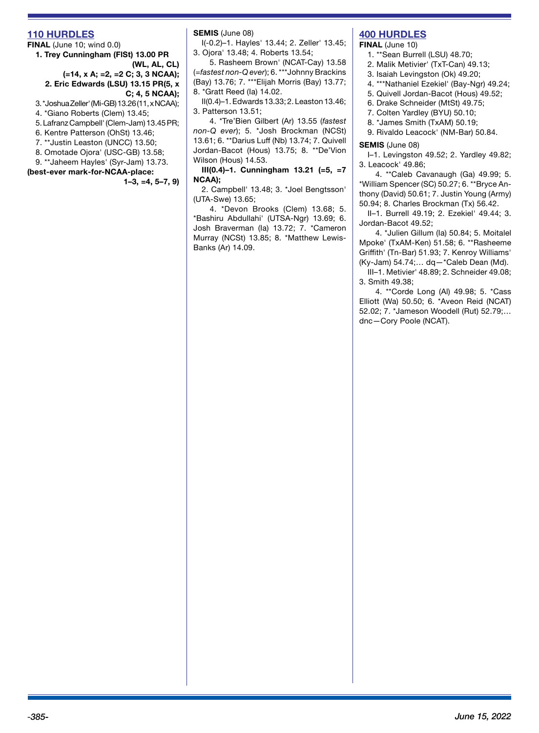#### **110 HURDLES**

**FINAL** (June 10; wind 0.0) **1. Trey Cunningham (FlSt) 13.00 PR (WL, AL, CL) (=14, x A; =2, =2 C; 3, 3 NCAA); 2. Eric Edwards (LSU) 13.15 PR(5, x C; 4, 5 NCAA);**

3. \*Joshua Zeller' (Mi-GB) 13.26 (11, x NCAA);

4. \*Giano Roberts (Clem) 13.45;

5. Lafranz Campbell' (Clem-Jam) 13.45 PR;

6. Kentre Patterson (OhSt) 13.46;

7. \*\*Justin Leaston (UNCC) 13.50;

8. Omotade Ojora' (USC-GB) 13.58;

9. \*\*Jaheem Hayles' (Syr-Jam) 13.73.

**(best-ever mark-for-NCAA-place: 1–3, =4, 5–7, 9)** **SEMIS** (June 08)

I(-0.2)–1. Hayles' 13.44; 2. Zeller' 13.45; 3. Ojora' 13.48; 4. Roberts 13.54;

5. Rasheem Brown' (NCAT-Cay) 13.58 (=*fastest non-Q ever*); 6. \*\*\*Johnny Brackins (Bay) 13.76; 7. \*\*\*Elijah Morris (Bay) 13.77; 8. \*Gratt Reed (Ia) 14.02.

II(0.4)–1. Edwards 13.33; 2. Leaston 13.46; 3. Patterson 13.51;

4. \*Tre'Bien Gilbert (Ar) 13.55 (*fastest non-Q ever*); 5. \*Josh Brockman (NCSt) 13.61; 6. \*\*Darius Luff (Nb) 13.74; 7. Quivell Jordan-Bacot (Hous) 13.75; 8. \*\*De'Vion Wilson (Hous) 14.53.

**III(0.4)–1. Cunningham 13.21 (=5, =7 NCAA);** 

2. Campbell' 13.48; 3. \*Joel Bengtsson' (UTA-Swe) 13.65;

4. \*Devon Brooks (Clem) 13.68; 5. \*Bashiru Abdullahi' (UTSA-Ngr) 13.69; 6. Josh Braverman (Ia) 13.72; 7. \*Cameron Murray (NCSt) 13.85; 8. \*Matthew Lewis-Banks (Ar) 14.09.

## **400 HURDLES**

**FINAL** (June 10)

- 1. \*\*Sean Burrell (LSU) 48.70;
- 2. Malik Metivier' (TxT-Can) 49.13;
- 3. Isaiah Levingston (Ok) 49.20;
- 4. \*\*\*Nathaniel Ezekiel' (Bay-Ngr) 49.24;
- 5. Quivell Jordan-Bacot (Hous) 49.52;
- 6. Drake Schneider (MtSt) 49.75;
- 7. Colten Yardley (BYU) 50.10;
- 8. \*James Smith (TxAM) 50.19;

9. Rivaldo Leacock' (NM-Bar) 50.84.

#### **SEMIS** (June 08)

I–1. Levingston 49.52; 2. Yardley 49.82; 3. Leacock' 49.86;

4. \*\*Caleb Cavanaugh (Ga) 49.99; 5. \*William Spencer (SC) 50.27; 6. \*\*Bryce Anthony (David) 50.61; 7. Justin Young (Army) 50.94; 8. Charles Brockman (Tx) 56.42.

II–1. Burrell 49.19; 2. Ezekiel' 49.44; 3. Jordan-Bacot 49.52;

4. \*Julien Gillum (Ia) 50.84; 5. Moitalel Mpoke' (TxAM-Ken) 51.58; 6. \*\*Rasheeme Griffith' (Tn-Bar) 51.93; 7. Kenroy Williams' (Ky-Jam) 54.74;… dq—\*Caleb Dean (Md).

III–1. Metivier' 48.89; 2. Schneider 49.08; 3. Smith 49.38;

4. \*\*Corde Long (Al) 49.98; 5. \*Cass Elliott (Wa) 50.50; 6. \*Aveon Reid (NCAT) 52.02; 7. \*Jameson Woodell (Rut) 52.79;… dnc—Cory Poole (NCAT).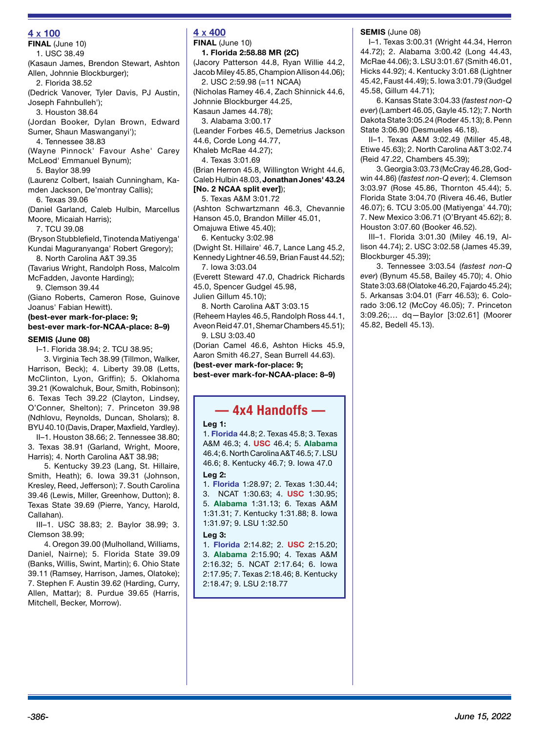## **4 x 100**

**FINAL** (June 10) 1. USC 38.49

(Kasaun James, Brendon Stewart, Ashton Allen, Johnnie Blockburger);

2. Florida 38.52 (Dedrick Vanover, Tyler Davis, PJ Austin, Joseph Fahnbulleh');

3. Houston 38.64

(Jordan Booker, Dylan Brown, Edward Sumer, Shaun Maswanganyi');

4. Tennessee 38.83

(Wayne Pinnock' Favour Ashe' Carey McLeod' Emmanuel Bynum);

5. Baylor 38.99

(Laurenz Colbert, Isaiah Cunningham, Kamden Jackson, De'montray Callis); 6. Texas 39.06

(Daniel Garland, Caleb Hulbin, Marcellus Moore, Micaiah Harris);

7. TCU 39.08

(Bryson Stubblefield, Tinotenda Matiyenga' Kundai Maguranyanga' Robert Gregory);

8. North Carolina A&T 39.35 (Tavarius Wright, Randolph Ross, Malcolm

McFadden, Javonte Harding);

9. Clemson 39.44

(Giano Roberts, Cameron Rose, Guinove Joanus' Fabian Hewitt).

# **(best-ever mark-for-place: 9; best-ever mark-for-NCAA-place: 8–9)**

**SEMIS (June 08)** I–1. Florida 38.94; 2. TCU 38.95;

3. Virginia Tech 38.99 (Tillmon, Walker, Harrison, Beck); 4. Liberty 39.08 (Letts, McClinton, Lyon, Griffin); 5. Oklahoma 39.21 (Kowalchuk, Bour, Smith, Robinson); 6. Texas Tech 39.22 (Clayton, Lindsey, O'Conner, Shelton); 7. Princeton 39.98 (Ndhlovu, Reynolds, Duncan, Sholars); 8. BYU 40.10 (Davis, Draper, Maxfield, Yardley).

II–1. Houston 38.66; 2. Tennessee 38.80; 3. Texas 38.91 (Garland, Wright, Moore, Harris); 4. North Carolina A&T 38.98;

5. Kentucky 39.23 (Lang, St. Hillaire, Smith, Heath); 6. Iowa 39.31 (Johnson, Kresley, Reed, Jefferson); 7. South Carolina 39.46 (Lewis, Miller, Greenhow, Dutton); 8. Texas State 39.69 (Pierre, Yancy, Harold, Callahan).

III–1. USC 38.83; 2. Baylor 38.99; 3. Clemson 38.99;

4. Oregon 39.00 (Mulholland, Williams, Daniel, Nairne); 5. Florida State 39.09 (Banks, Willis, Swint, Martin); 6. Ohio State 39.11 (Ramsey, Harrison, James, Olatoke); 7. Stephen F. Austin 39.62 (Harding, Curry, Allen, Mattar); 8. Purdue 39.65 (Harris, Mitchell, Becker, Morrow).

# **4 x 400**

**FINAL** (June 10) **1. Florida 2:58.88 MR (2C)** 

(Jacory Patterson 44.8, Ryan Willie 44.2, Jacob Miley 45.85, Champion Allison 44.06); 2. USC 2:59.98 (=11 NCAA) (Nicholas Ramey 46.4, Zach Shinnick 44.6, Johnnie Blockburger 44.25,

Kasaun James 44.78);

3. Alabama 3:00.17

(Leander Forbes 46.5, Demetrius Jackson

44.6, Corde Long 44.77,

Khaleb McRae 44.27);

4. Texas 3:01.69

(Brian Herron 45.8, Willington Wright 44.6, Caleb Hulbin 48.03, **Jonathan Jones' 43.24** 

#### **[No. 2 NCAA split ever]**);

5. Texas A&M 3:01.72 (Ashton Schwartzmann 46.3, Chevannie Hanson 45.0, Brandon Miller 45.01,

Omajuwa Etiwe 45.40);

6. Kentucky 3:02.98

(Dwight St. Hillaire' 46.7, Lance Lang 45.2, Kennedy Lightner 46.59, Brian Faust 44.52); 7. Iowa 3:03.04

(Everett Steward 47.0, Chadrick Richards 45.0, Spencer Gudgel 45.98,

Julien Gillum 45.10);

8. North Carolina A&T 3:03.15 (Reheem Hayles 46.5, Randolph Ross 44.1, Aveon Reid 47.01, Shemar Chambers 45.51); 9. LSU 3:03.40

(Dorian Camel 46.6, Ashton Hicks 45.9, Aaron Smith 46.27, Sean Burrell 44.63).

**(best-ever mark-for-place: 9; best-ever mark-for-NCAA-place: 8–9)**

# **— 4x4 Handoffs —**

#### **Leg 1:**

1. **Florida** 44.8; 2. Texas 45.8; 3. Texas A&M 46.3; 4. **USC** 46.4; 5. **Alabama** 46.4; 6. North Carolina A&T 46.5; 7. LSU 46.6; 8. Kentucky 46.7; 9. Iowa 47.0 **Leg 2:** 

1. **Florida** 1:28.97; 2. Texas 1:30.44; 3. NCAT 1:30.63; 4. **USC** 1:30.95; 5. **Alabama** 1:31.13; 6. Texas A&M 1:31.31; 7. Kentucky 1:31.88; 8. Iowa 1:31.97; 9. LSU 1:32.50

#### **Leg 3:**

1. **Florida** 2:14.82; 2. **USC** 2:15.20; 3. **Alabama** 2:15.90; 4. Texas A&M 2:16.32; 5. NCAT 2:17.64; 6. Iowa 2:17.95; 7. Texas 2:18.46; 8. Kentucky 2:18.47; 9. LSU 2:18.77

#### **SEMIS** (June 08)

I–1. Texas 3:00.31 (Wright 44.34, Herron 44.72); 2. Alabama 3:00.42 (Long 44.43, McRae 44.06); 3. LSU 3:01.67 (Smith 46.01, Hicks 44.92); 4. Kentucky 3:01.68 (Lightner 45.42, Faust 44.49); 5. Iowa 3:01.79 (Gudgel 45.58, Gillum 44.71);

6. Kansas State 3:04.33 (*fastest non-Q ever*) (Lambert 46.05, Gayle 45.12); 7. North Dakota State 3:05.24 (Roder 45.13); 8. Penn State 3:06.90 (Desmueles 46.18).

II–1. Texas A&M 3:02.49 (Miller 45.48, Etiwe 45.63); 2. North Carolina A&T 3:02.74 (Reid 47.22, Chambers 45.39);

3. Georgia 3:03.73 (McCray 46.28, Godwin 44.86) (*fastest non-Q ever*); 4. Clemson 3:03.97 (Rose 45.86, Thornton 45.44); 5. Florida State 3:04.70 (Rivera 46.46, Butler 46.07); 6. TCU 3:05.00 (Matiyenga' 44.70); 7. New Mexico 3:06.71 (O'Bryant 45.62); 8. Houston 3:07.60 (Booker 46.52).

III–1. Florida 3:01.30 (Miley 46.19, Allison 44.74); 2. USC 3:02.58 (James 45.39, Blockburger 45.39);

3. Tennessee 3:03.54 (*fastest non-Q ever*) (Bynum 45.58, Bailey 45.70); 4. Ohio State 3:03.68 (Olatoke 46.20, Fajardo 45.24); 5. Arkansas 3:04.01 (Farr 46.53); 6. Colorado 3:06.12 (McCoy 46.05); 7. Princeton 3:09.26;… dq—Baylor [3:02.61] (Moorer 45.82, Bedell 45.13).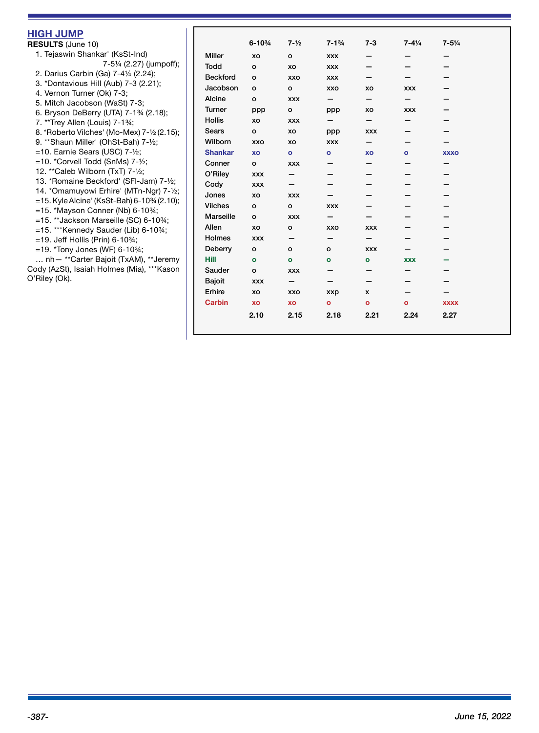| <b>HIGH JUMP</b><br><b>RESULTS (June 10)</b>                                                                                                                                                                                                                   |                  | $6 - 10\%$ | $7 - \frac{1}{2}$ | $7 - 1\frac{3}{4}$ | $7 - 3$      | $7 - 4\frac{1}{4}$ | $7 - 5\frac{1}{4}$ |
|----------------------------------------------------------------------------------------------------------------------------------------------------------------------------------------------------------------------------------------------------------------|------------------|------------|-------------------|--------------------|--------------|--------------------|--------------------|
| 1. Tejaswin Shankar' (KsSt-Ind)                                                                                                                                                                                                                                | <b>Miller</b>    | XO         | $\circ$           | <b>XXX</b>         |              |                    |                    |
| 7-51/4 (2.27) (jumpoff);                                                                                                                                                                                                                                       | <b>Todd</b>      | $\circ$    | XO                | <b>XXX</b>         |              |                    |                    |
| 2. Darius Carbin (Ga) 7-41/4 (2.24);                                                                                                                                                                                                                           | <b>Beckford</b>  | $\circ$    | <b>XXO</b>        | <b>XXX</b>         |              |                    |                    |
| 3. *Dontavious Hill (Aub) 7-3 (2.21);                                                                                                                                                                                                                          | Jacobson         | $\circ$    | $\circ$           | <b>XXO</b>         | XO           | <b>XXX</b>         |                    |
| 4. Vernon Turner (Ok) 7-3;                                                                                                                                                                                                                                     | Alcine           | $\circ$    | <b>XXX</b>        | -                  | —            | —                  |                    |
| 5. Mitch Jacobson (WaSt) 7-3;                                                                                                                                                                                                                                  | Turner           | ppp        | $\circ$           | ppp                | хo           | <b>XXX</b>         |                    |
| 6. Bryson DeBerry (UTA) 7-1% (2.18);                                                                                                                                                                                                                           | <b>Hollis</b>    | XO         | <b>XXX</b>        | -                  | —            | -                  |                    |
| 7. **Trey Allen (Louis) 7-1%;<br>8. *Roberto Vilches' (Mo-Mex) 7-1/2 (2.15);<br>9. ** Shaun Miller' (OhSt-Bah) 7-1/2;<br>$=$ 10. Earnie Sears (USC) 7- $\frac{1}{2}$ ;<br>$=$ 10. *Corvell Todd (SnMs) 7- $\frac{1}{2}$ ;<br>12. ** Caleb Wilborn (TxT) 7-1/2; | <b>Sears</b>     | $\circ$    | XO                |                    | <b>XXX</b>   |                    |                    |
|                                                                                                                                                                                                                                                                | Wilborn          | <b>XXO</b> | XO                | ppp<br><b>XXX</b>  | -            |                    |                    |
|                                                                                                                                                                                                                                                                | <b>Shankar</b>   | XO         | $\bullet$         | $\mathbf{o}$       | XO           |                    | <b>XXXO</b>        |
|                                                                                                                                                                                                                                                                | Conner           | $\circ$    | <b>XXX</b>        |                    |              | $\bullet$          |                    |
|                                                                                                                                                                                                                                                                | O'Riley          | <b>XXX</b> | -                 |                    |              |                    |                    |
| 13. *Romaine Beckford' (SFI-Jam) 7-1/2;                                                                                                                                                                                                                        |                  |            |                   |                    |              |                    |                    |
| 14. *Omamuyowi Erhire' (MTn-Ngr) 7-1/2;                                                                                                                                                                                                                        | Cody             | <b>XXX</b> | —                 |                    |              |                    |                    |
| $=$ 15. Kyle Alcine' (KsSt-Bah) 6-10 <sup>3</sup> /4 (2.10);                                                                                                                                                                                                   | Jones            | XO         | <b>XXX</b>        |                    |              |                    |                    |
| $=15.$ *Mayson Conner (Nb) 6-10%;                                                                                                                                                                                                                              | <b>Vilches</b>   | $\circ$    | o                 | <b>XXX</b>         |              |                    |                    |
| $=$ 15. **Jackson Marseille (SC) 6-10%;                                                                                                                                                                                                                        | <b>Marseille</b> | $\circ$    | <b>XXX</b>        | —                  |              |                    |                    |
| $=$ 15. *** Kennedy Sauder (Lib) 6-10%;                                                                                                                                                                                                                        | Allen            | XO         | o                 | <b>XXO</b>         | <b>XXX</b>   |                    |                    |
| $=$ 19. Jeff Hollis (Prin) 6-10%;                                                                                                                                                                                                                              | Holmes           | <b>XXX</b> | -                 | -                  | —            |                    |                    |
| $=$ 19. *Tony Jones (WF) 6-10\%;                                                                                                                                                                                                                               | Deberry          | $\circ$    | $\circ$           | $\circ$            | <b>XXX</b>   |                    |                    |
| nh - ** Carter Bajoit (TxAM), ** Jeremy                                                                                                                                                                                                                        | <b>Hill</b>      | $\bullet$  | $\bullet$         | $\bullet$          | $\bullet$    | <b>XXX</b>         |                    |
| Cody (AzSt), Isaiah Holmes (Mia), *** Kason                                                                                                                                                                                                                    | Sauder           | $\circ$    | <b>XXX</b>        |                    | —            |                    |                    |
| O'Riley (Ok).                                                                                                                                                                                                                                                  | <b>Bajoit</b>    | <b>XXX</b> | -                 |                    | —            |                    |                    |
|                                                                                                                                                                                                                                                                | Erhire           | XO         | <b>XXO</b>        | xxp                | $\mathsf{x}$ |                    |                    |
|                                                                                                                                                                                                                                                                | <b>Carbin</b>    | XO         | XO                | $\bullet$          | $\bullet$    | $\mathbf{o}$       | <b>XXXX</b>        |
|                                                                                                                                                                                                                                                                |                  | 2.10       | 2.15              | 2.18               | 2.21         | 2.24               | 2.27               |
|                                                                                                                                                                                                                                                                |                  |            |                   |                    |              |                    |                    |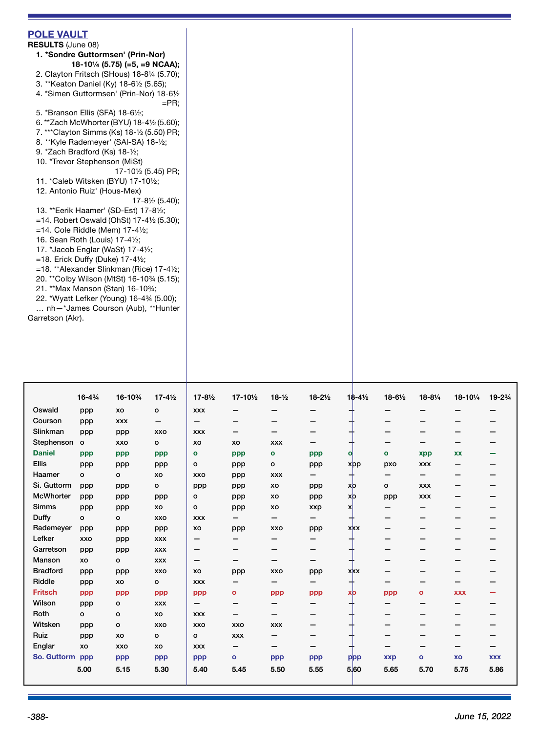| 5. *Branson Ellis (SFA) 18-61/2;<br>6. **Zach McWhorter (BYU) 18-4½ (5.60);<br>7. ***Clayton Simms (Ks) 18-1/2 (5.50) PR;<br>8. ** Kyle Rademeyer' (SAI-SA) 18-1/2;<br>9. *Zach Bradford (Ks) 18-1/2;<br>10. *Trevor Stephenson (MiSt)<br>17-10½ (5.45) PR;<br>11. *Caleb Witsken (BYU) 17-101/2;<br>12. Antonio Ruiz' (Hous-Mex)<br>$17 - 8\frac{1}{2}$ (5.40);<br>13. ** Eerik Haamer' (SD-Est) 17-81/2;<br>$=$ 14. Robert Oswald (OhSt) 17-4 $\frac{1}{2}$ (5.30);<br>$=$ 14. Cole Riddle (Mem) 17-4 $\frac{1}{2}$ ;<br>16. Sean Roth (Louis) 17-41/2;<br>17. *Jacob Englar (WaSt) 17-41/2;<br>$=$ 18. Erick Duffy (Duke) 17-4 $\frac{1}{2}$ ;<br>$=$ 18. **Alexander Slinkman (Rice) 17-4 $\frac{1}{2}$ ;<br>20. ** Colby Wilson (MtSt) 16-1034 (5.15);<br>21. ** Max Manson (Stan) 16-103/4;<br>22. *Wyatt Lefker (Young) 16-434 (5.00);<br>nh-*James Courson (Aub), **Hunter<br>Garretson (Akr). | <b>POLE VAULT</b><br><b>RESULTS (June 08)</b><br>1. *Sondre Guttormsen' (Prin-Nor)<br>18-10 $\frac{1}{4}$ (5.75) (=5, =9 NCAA);<br>2. Clayton Fritsch (SHous) 18-81/4 (5.70);<br>3. ** Keaton Daniel (Ky) 18-61/2 (5.65);<br>4. *Simen Guttormsen' (Prin-Nor) 18-61/2<br>$=$ PR: |
|--------------------------------------------------------------------------------------------------------------------------------------------------------------------------------------------------------------------------------------------------------------------------------------------------------------------------------------------------------------------------------------------------------------------------------------------------------------------------------------------------------------------------------------------------------------------------------------------------------------------------------------------------------------------------------------------------------------------------------------------------------------------------------------------------------------------------------------------------------------------------------------------------------|----------------------------------------------------------------------------------------------------------------------------------------------------------------------------------------------------------------------------------------------------------------------------------|
|                                                                                                                                                                                                                                                                                                                                                                                                                                                                                                                                                                                                                                                                                                                                                                                                                                                                                                        |                                                                                                                                                                                                                                                                                  |
|                                                                                                                                                                                                                                                                                                                                                                                                                                                                                                                                                                                                                                                                                                                                                                                                                                                                                                        |                                                                                                                                                                                                                                                                                  |
|                                                                                                                                                                                                                                                                                                                                                                                                                                                                                                                                                                                                                                                                                                                                                                                                                                                                                                        |                                                                                                                                                                                                                                                                                  |
|                                                                                                                                                                                                                                                                                                                                                                                                                                                                                                                                                                                                                                                                                                                                                                                                                                                                                                        |                                                                                                                                                                                                                                                                                  |
|                                                                                                                                                                                                                                                                                                                                                                                                                                                                                                                                                                                                                                                                                                                                                                                                                                                                                                        |                                                                                                                                                                                                                                                                                  |
|                                                                                                                                                                                                                                                                                                                                                                                                                                                                                                                                                                                                                                                                                                                                                                                                                                                                                                        |                                                                                                                                                                                                                                                                                  |
|                                                                                                                                                                                                                                                                                                                                                                                                                                                                                                                                                                                                                                                                                                                                                                                                                                                                                                        |                                                                                                                                                                                                                                                                                  |
|                                                                                                                                                                                                                                                                                                                                                                                                                                                                                                                                                                                                                                                                                                                                                                                                                                                                                                        |                                                                                                                                                                                                                                                                                  |
|                                                                                                                                                                                                                                                                                                                                                                                                                                                                                                                                                                                                                                                                                                                                                                                                                                                                                                        |                                                                                                                                                                                                                                                                                  |

|                  | $16 - 4\frac{3}{4}$ | 16-103/4   | $17 - 4\frac{1}{2}$ | $17 - 8\frac{1}{2}$ | 17-101/2                 | $18 - \frac{1}{2}$       | $18 - 2\frac{1}{2}$ | $18 - 4\frac{1}{2}$ | $18-6\frac{1}{2}$ | $18 - 8\frac{1}{4}$ | 18-101/4   | 19-23/4    |
|------------------|---------------------|------------|---------------------|---------------------|--------------------------|--------------------------|---------------------|---------------------|-------------------|---------------------|------------|------------|
|                  |                     |            |                     |                     |                          |                          |                     |                     |                   |                     |            |            |
| Oswald           | ppp                 | XO         | $\mathbf{o}$        | <b>XXX</b>          |                          |                          | -                   |                     | -                 |                     |            |            |
| Courson          | ppp                 | <b>XXX</b> | -                   | -                   | -                        |                          | –                   |                     | -                 |                     |            |            |
| Slinkman         | ppp                 | ppp        | XXO                 | <b>XXX</b>          | -                        |                          | –                   |                     | –                 |                     |            |            |
| Stephenson       | $\mathsf{o}$        | <b>XXO</b> | $\circ$             | XO                  | XO                       | <b>XXX</b>               | -                   |                     | -                 | -                   | —          |            |
| <b>Daniel</b>    | ppp                 | ppp        | ppp                 | $\circ$             | ppp                      | $\mathbf{o}$             | ppp                 | o                   | $\mathbf{o}$      | xpp                 | <b>XX</b>  |            |
| <b>Ellis</b>     | ppp                 | ppp        | ppp                 | $\circ$             | ppp                      | $\circ$                  | ppp                 | xpp                 | pxo               | <b>XXX</b>          |            |            |
| Haamer           | $\mathbf{o}$        | o          | XO                  | XXO                 | ppp                      | <b>XXX</b>               | —                   | ┭                   | -                 | $\qquad \qquad$     | -          |            |
| Si. Guttorm      | ppp                 | ppp        | $\circ$             | ppp                 | ppp                      | XO                       | ppp                 | xþ                  | o                 | <b>XXX</b>          | –          |            |
| <b>McWhorter</b> | ppp                 | ppp        | ppp                 | $\circ$             | ppp                      | XO                       | ppp                 | xb                  | ppp               | <b>XXX</b>          |            |            |
| <b>Simms</b>     | ppp                 | ppp        | XO                  | $\circ$             | ppp                      | XO                       | xxp                 | x                   | -                 |                     |            |            |
| Duffy            | $\mathbf{o}$        | o          | XXO                 | <b>XXX</b>          | -                        | -                        | -                   |                     | -                 |                     |            |            |
| Rademeyer        | ppp                 | ppp        | ppp                 | XO                  | ppp                      | XXO                      | ppp                 | <b>XXX</b>          |                   |                     |            |            |
| Lefker           | <b>XXO</b>          | ppp        | <b>XXX</b>          | —                   | -                        | -                        | -                   |                     | -                 |                     | –          |            |
| Garretson        | ppp                 | ppp        | <b>XXX</b>          | $\qquad \qquad$     | -                        | -                        | —                   |                     | -                 |                     | -          |            |
| Manson           | XO                  | o          | <b>XXX</b>          | -                   | -                        | $\overline{\phantom{0}}$ | -                   | ∸                   | -                 |                     |            |            |
| <b>Bradford</b>  | ppp                 | ppp        | XXO                 | XO                  | ppp                      | XXO                      | ppp                 | <b>XXX</b>          | -                 |                     |            |            |
| Riddle           | ppp                 | XO         | $\circ$             | <b>XXX</b>          | $\overline{\phantom{0}}$ | -                        | —                   | ┭                   | -                 | -                   | -          |            |
| <b>Fritsch</b>   | ppp                 | ppp        | ppp                 | ppp                 | $\mathbf o$              | ppp                      | ppp                 | xþ                  | ppp               | $\mathbf{o}$        | <b>XXX</b> |            |
| Wilson           | ppp                 | o          | <b>XXX</b>          | -                   | -                        | -                        | -                   |                     |                   |                     |            |            |
| Roth             | $\circ$             | o          | XO                  | <b>XXX</b>          | -                        | —                        | -                   |                     | -                 | -                   | -          |            |
| Witsken          | ppp                 | О          | XXO                 | XXO                 | XXO                      | <b>XXX</b>               | -                   |                     | -                 | -                   | -          |            |
| Ruiz             | ppp                 | XO         | $\circ$             | $\circ$             | <b>XXX</b>               | –                        | –                   |                     | -                 |                     |            |            |
| Englar           | XO                  | <b>XXO</b> | XO                  | <b>XXX</b>          | $\overline{\phantom{0}}$ | -                        | –                   |                     | -                 | –                   |            |            |
| So. Guttorm ppp  |                     | ppp        | ppp                 | ppp                 | $\bullet$                | ppp                      | ppp                 | ppp                 | <b>xxp</b>        | $\mathbf{o}$        | XO         | <b>XXX</b> |
|                  | 5.00                | 5.15       | 5.30                | 5.40                | 5.45                     | 5.50                     | 5.55                | 5.60                | 5.65              | 5.70                | 5.75       | 5.86       |
|                  |                     |            |                     |                     |                          |                          |                     |                     |                   |                     |            |            |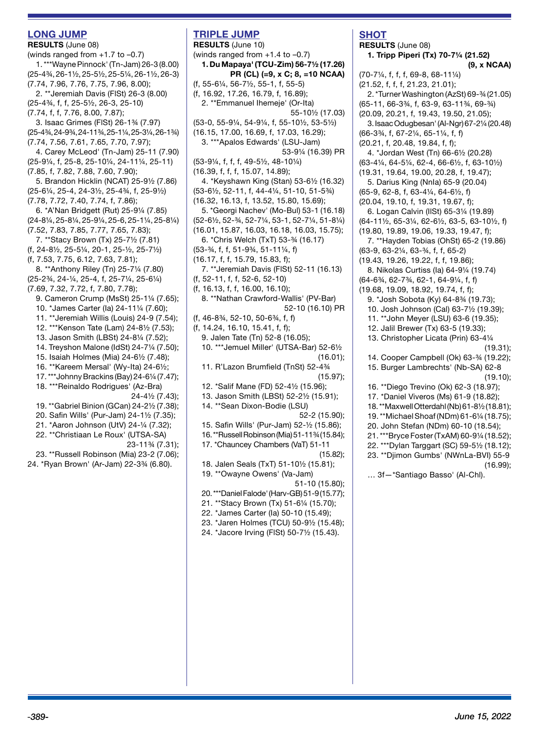#### **LONG JUMP**

**RESULTS** (June 08) (winds ranged from +1.7 to –0.7) 1. \*\*\*Wayne Pinnock' (Tn-Jam) 26-3 (8.00) (25-4¾, 26-1½, 25-5½, 25-5¼, 26-1½, 26-3) (7.74, 7.96, 7.76, 7.75, 7.96, 8.00); 2. \*\*Jeremiah Davis (FlSt) 26-3 (8.00) (25-4¾, f, f, 25-5½, 26-3, 25-10) (7.74, f, f, 7.76, 8.00, 7.87); 3. Isaac Grimes (FlSt) 26-1¾ (7.97) (25-4¾, 24-9¾, 24-11¾, 25-1¼, 25-3¼, 26-1¾) (7.74, 7.56, 7.61, 7.65, 7.70, 7.97); 4. Carey McLeod' (Tn-Jam) 25-11 (7.90) (25-9¼, f, 25-8, 25-10¼, 24-11¼, 25-11) (7.85, f, 7.82, 7.88, 7.60, 7.90); 5. Brandon Hicklin (NCAT) 25-9½ (7.86) (25-6¼, 25-4, 24-3½, 25-4¾, f, 25-9½) (7.78, 7.72, 7.40, 7.74, f, 7.86); 6. \*A'Nan Bridgett (Rut) 25-9¼ (7.85) (24-8¼, 25-8¼, 25-9¼, 25-6, 25-1¼, 25-8¼) (7.52, 7.83, 7.85, 7.77, 7.65, 7.83); 7. \*\*Stacy Brown (Tx) 25-7½ (7.81) (f, 24-8½, 25-5¼, 20-1, 25-½, 25-7½) (f, 7.53, 7.75, 6.12, 7.63, 7.81); 8. \*\*Anthony Riley (Tn) 25-7¼ (7.80) (25-2¾, 24-¼, 25-4, f, 25-7¼, 25-6¼) (7.69, 7.32, 7.72, f, 7.80, 7.78); 9. Cameron Crump (MsSt) 25-1¼ (7.65); 10. \*James Carter (Ia) 24-11¼ (7.60); 11. \*\*Jeremiah Willis (Louis) 24-9 (7.54); 12. \*\*\*Kenson Tate (Lam) 24-8½ (7.53); 13. Jason Smith (LBSt) 24-8¼ (7.52); 14. Treyshon Malone (IdSt) 24-7¼ (7.50); 15. Isaiah Holmes (Mia) 24-6½ (7.48); 16. \*\*Kareem Mersal' (Wy-Ita) 24-6½; 17. \*\*\*Johnny Brackins (Bay) 24-6¼ (7.47); 18. \*\*\*Reinaldo Rodrigues' (Az-Bra) 24-4½ (7.43); 19. \*\*Gabriel Binion (GCan) 24-2½ (7.38); 20. Safin Wills' (Pur-Jam) 24-1½ (7.35); 21. \*Aaron Johnson (UtV) 24-¼ (7.32); 22. \*\*Christiaan Le Roux' (UTSA-SA) 23-11¾ (7.31); 23. \*\*Russell Robinson (Mia) 23-2 (7.06); 24. \*Ryan Brown' (Ar-Jam) 22-3¾ (6.80).

# **TRIPLE JUMP**

**RESULTS** (June 10) (winds ranged from +1.4 to –0.7) **1. Du Mapaya' (TCU-Zim) 56-7½ (17.26) PR (CL) (=9, x C; 8, =10 NCAA)** (f, 55-6¼, 56-7½, 55-1, f, 55-5) (f, 16.92, 17.26, 16.79, f, 16.89); 2. \*\*Emmanuel Ihemeje' (Or-Ita) 55-10½ (17.03) (53-0, 55-9¼, 54-9¼, f, 55-10½, 53-5½) (16.15, 17.00, 16.69, f, 17.03, 16.29); 3. \*\*\*Apalos Edwards' (LSU-Jam) 53-9¼ (16.39) PR (53-9¼, f, f, f, 49-5½, 48-10¼) (16.39, f, f, f, 15.07, 14.89); 4. \*Keyshawn King (Stan) 53-6½ (16.32) (53-6½, 52-11, f, 44-4¼, 51-10, 51-5¾) (16.32, 16.13, f, 13.52, 15.80, 15.69); 5. \*Georgi Nachev' (Mo-Bul) 53-1 (16.18) (52-6½, 52-¾, 52-7¼, 53-1, 52-7¼, 51-8¼) (16.01, 15.87, 16.03, 16.18, 16.03, 15.75); 6. \*Chris Welch (TxT) 53-¾ (16.17) (53-¾, f, f, 51-9¾, 51-11¼, f) (16.17, f, f, 15.79, 15.83, f); 7. \*\*Jeremiah Davis (FlSt) 52-11 (16.13) (f, 52-11, f, f, 52-6, 52-10) (f, 16.13, f, f, 16.00, 16.10); 8. \*\*Nathan Crawford-Wallis' (PV-Bar) 52-10 (16.10) PR (f, 46-8¾, 52-10, 50-6¾, f, f) (f, 14.24, 16.10, 15.41, f, f); 9. Jalen Tate (Tn) 52-8 (16.05); 10. \*\*\*Jemuel Miller' (UTSA-Bar) 52-6½ (16.01); 11. R'Lazon Brumfield (TnSt) 52-4¾ (15.97); 12. \*Salif Mane (FD) 52-4½ (15.96); 13. Jason Smith (LBSt) 52-2½ (15.91); 14. \*\*Sean Dixon-Bodie (LSU) 52-2 (15.90); 15. Safin Wills' (Pur-Jam) 52-½ (15.86); 16. \*\*Russell Robinson (Mia) 51-11¾ (15.84); 17. \*Chauncey Chambers (VaT) 51-11 (15.82); 18. Jalen Seals (TxT) 51-10½ (15.81); 19. \*\*Owayne Owens' (Va-Jam) 51-10 (15.80); 20. \*\*\*Daniel Falode' (Harv-GB) 51-9 (15.77); 21. \*\*Stacy Brown (Tx) 51-6¼ (15.70); 22. \*James Carter (Ia) 50-10 (15.49); 23. \*Jaren Holmes (TCU) 50-9½ (15.48); 24. \*Jacore Irving (FlSt) 50-7½ (15.43).

## **SHOT**

**RESULTS** (June 08) **1. Tripp Piperi (Tx) 70-7¼ (21.52)** 

**(9, x NCAA)** (70-7¼, f, f, f, 69-8, 68-11¼) (21.52, f, f, f, 21.23, 21.01); 2. \*Turner Washington (AzSt) 69-¾ (21.05) (65-11, 66-3¾, f, 63-9, 63-11¾, 69-¾) (20.09, 20.21, f, 19.43, 19.50, 21.05); 3. Isaac Odugbesan' (Al-Ngr) 67-2¼ (20.48) (66-3¾, f, 67-2¼, 65-1¼, f, f) (20.21, f, 20.48, 19.84, f, f); 4. \*Jordan West (Tn) 66-6½ (20.28) (63-4¼, 64-5¼, 62-4, 66-6½, f, 63-10½) (19.31, 19.64, 19.00, 20.28, f, 19.47); 5. Darius King (NnIa) 65-9 (20.04) (65-9, 62-8, f, 63-4¼, 64-6½, f) (20.04, 19.10, f, 19.31, 19.67, f); 6. Logan Calvin (IlSt) 65-3¼ (19.89) (64-11½, 65-3¼, 62-6½, 63-5, 63-10½, f) (19.80, 19.89, 19.06, 19.33, 19.47, f); 7. \*\*Hayden Tobias (OhSt) 65-2 (19.86) (63-9, 63-2¼, 63-¾, f, f, 65-2) (19.43, 19.26, 19.22, f, f, 19.86); 8. Nikolas Curtiss (Ia) 64-9¼ (19.74) (64-6¾, 62-7¾, 62-1, 64-9¼, f, f) (19.68, 19.09, 18.92, 19.74, f, f); 9. \*Josh Sobota (Ky) 64-8¾ (19.73); 10. Josh Johnson (Cal) 63-7½ (19.39); 11. \*\*John Meyer (LSU) 63-6 (19.35); 12. Jalil Brewer (Tx) 63-5 (19.33); 13. Christopher Licata (Prin) 63-4¼ (19.31); 14. Cooper Campbell (Ok) 63-¾ (19.22); 15. Burger Lambrechts' (Nb-SA) 62-8 (19.10); 16. \*\*Diego Trevino (Ok) 62-3 (18.97); 17. \*Daniel Viveros (Ms) 61-9 (18.82); 18. \*\*Maxwell Otterdahl (Nb) 61-8½ (18.81); 19. \*\*Michael Shoaf (NDm) 61-6¼ (18.75); 20. John Stefan (NDm) 60-10 (18.54); 21. \*\*\*Bryce Foster (TxAM) 60-9¼ (18.52); 22. \*\*\*Dylan Targgart (SC) 59-5½ (18.12); 23. \*\*Djimon Gumbs' (NWnLa-BVI) 55-9 (16.99); … 3f—\*Santiago Basso' (Al-Chl).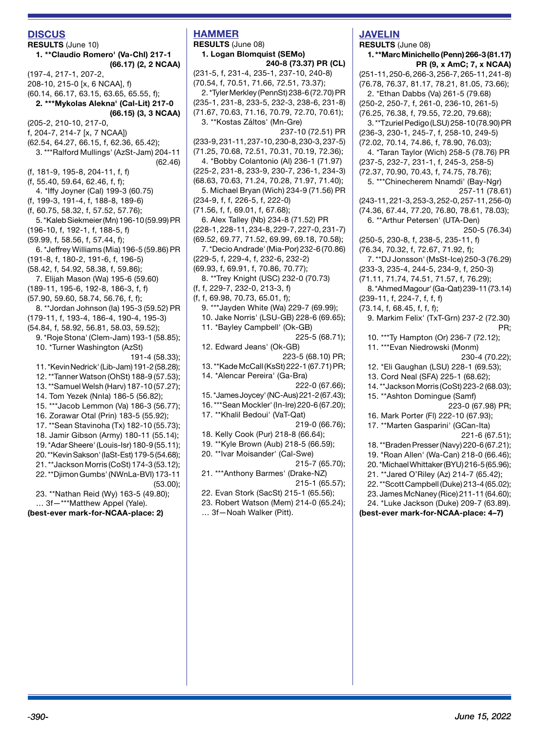## **DISCUS**

**RESULTS** (June 10) **1. \*\*Claudio Romero' (Va-Chl) 217-1 (66.17) (2, 2 NCAA)** (197-4, 217-1, 207-2, 208-10, 215-0 [x, 6 NCAA], f) (60.14, 66.17, 63.15, 63.65, 65.55, f); **2. \*\*\*Mykolas Alekna' (Cal-Lit) 217-0 (66.15) (3, 3 NCAA)** (205-2, 210-10, 217-0, f, 204-7, 214-7 [x, 7 NCAA]) (62.54, 64.27, 66.15, f, 62.36, 65.42); 3. \*\*\*Ralford Mullings' (AzSt-Jam) 204-11 (62.46) (f, 181-9, 195-8, 204-11, f, f) (f, 55.40, 59.64, 62.46, f, f); 4. \*Iffy Joyner (Cal) 199-3 (60.75) (f, 199-3, 191-4, f, 188-8, 189-6) (f, 60.75, 58.32, f, 57.52, 57.76); 5. \*Kaleb Siekmeier (Mn) 196-10 (59.99) PR (196-10, f, 192-1, f, 188-5, f) (59.99, f, 58.56, f, 57.44, f); 6. \*Jeffrey Williams (Mia) 196-5 (59.86) PR (191-8, f, 180-2, 191-6, f, 196-5) (58.42, f, 54.92, 58.38, f, 59.86); 7. Elijah Mason (Wa) 195-6 (59.60) (189-11, 195-6, 192-8, 186-3, f, f) (57.90, 59.60, 58.74, 56.76, f, f); 8. \*\*Jordan Johnson (Ia) 195-3 (59.52) PR (179-11, f, 193-4, 186-4, 190-4, 195-3) (54.84, f, 58.92, 56.81, 58.03, 59.52); 9. \*Roje Stona' (Clem-Jam) 193-1 (58.85); 10. \*Turner Washington (AzSt) 191-4 (58.33); 11. \*Kevin Nedrick' (Lib-Jam) 191-2 (58.28); 12. \*\*Tanner Watson (OhSt) 188-9 (57.53); 13. \*\*Samuel Welsh (Harv) 187-10 (57.27); 14. Tom Yezek (NnIa) 186-5 (56.82); 15. \*\*\*Jacob Lemmon (Va) 186-3 (56.77); 16. Zorawar Otal (Prin) 183-5 (55.92); 17. \*\*Sean Stavinoha (Tx) 182-10 (55.73); 18. Jamir Gibson (Army) 180-11 (55.14); 19. \*Adar Sheere' (Louis-Isr) 180-9 (55.11); 20. \*\*Kevin Sakson' (IaSt-Est) 179-5 (54.68); 21. \*\*Jackson Morris (CoSt) 174-3 (53.12); 22. \*\*Djimon Gumbs' (NWnLa-BVI) 173-11 (53.00); 23. \*\*Nathan Reid (Wy) 163-5 (49.80); … 3f—\*\*\*Matthew Appel (Yale). **(best-ever mark-for-NCAA-place: 2)**

# **HAMMER RESULTS** (June 08)

**1. Logan Blomquist (SEMo) 240-8 (73.37) PR (CL)** (231-5, f, 231-4, 235-1, 237-10, 240-8) (70.54, f, 70.51, 71.66, 72.51, 73.37); 2. \*Tyler Merkley (PennSt) 238-6 (72.70) PR (235-1, 231-8, 233-5, 232-3, 238-6, 231-8) (71.67, 70.63, 71.16, 70.79, 72.70, 70.61); 3. \*\*Kostas Záltos' (Mn-Gre) 237-10 (72.51) PR (233-9, 231-11, 237-10, 230-8, 230-3, 237-5) (71.25, 70.68, 72.51, 70.31, 70.19, 72.36); 4. \*Bobby Colantonio (Al) 236-1 (71.97) (225-2, 231-8, 233-9, 230-7, 236-1, 234-3) (68.63, 70.63, 71.24, 70.28, 71.97, 71.40); 5. Michael Bryan (Wich) 234-9 (71.56) PR (234-9, f, f, 226-5, f, 222-0) (71.56, f, f, 69.01, f, 67.68); 6. Alex Talley (Nb) 234-8 (71.52) PR (228-1, 228-11, 234-8, 229-7, 227-0, 231-7) (69.52, 69.77, 71.52, 69.99, 69.18, 70.58); 7. \*Decio Andrade' (Mia-Por) 232-6 (70.86) (229-5, f, 229-4, f, 232-6, 232-2) (69.93, f, 69.91, f, 70.86, 70.77); 8. \*\*Trey Knight (USC) 232-0 (70.73) (f, f, 229-7, 232-0, 213-3, f) (f, f, 69.98, 70.73, 65.01, f); 9. \*\*\*Jayden White (Wa) 229-7 (69.99); 10. Jake Norris' (LSU-GB) 228-6 (69.65); 11. \*Bayley Campbell' (Ok-GB) 225-5 (68.71); 12. Edward Jeans' (Ok-GB) 223-5 (68.10) PR; 13. \*\*Kade McCall (KsSt) 222-1 (67.71) PR; 14. \*Alencar Pereira' (Ga-Bra) 222-0 (67.66); 15. \*James Joycey' (NC-Aus) 221-2 (67.43); 16. \*\*\*Sean Mockler' (In-Ire) 220-6 (67.20); 17. \*\*Khalil Bedoui' (VaT-Qat) 219-0 (66.76); 18. Kelly Cook (Pur) 218-8 (66.64); 19. \*\*Kyle Brown (Aub) 218-5 (66.59); 20. \*\*Ivar Moisander' (Cal-Swe) 215-7 (65.70); 21. \*\*\*Anthony Barmes' (Drake-NZ) 215-1 (65.57); 22. Evan Stork (SacSt) 215-1 (65.56); 23. Robert Watson (Mem) 214-0 (65.24); … 3f—Noah Walker (Pitt).

# **JAVELIN**

**RESULTS** (June 08) **1. \*\*Marc Minichello (Penn) 266-3 (81.17) PR (9, x AmC; 7, x NCAA)** (251-11, 250-6, 266-3, 256-7, 265-11, 241-8) (76.78, 76.37, 81.17, 78.21, 81.05, 73.66); 2. \*Ethan Dabbs (Va) 261-5 (79.68) (250-2, 250-7, f, 261-0, 236-10, 261-5) (76.25, 76.38, f, 79.55, 72.20, 79.68); 3. \*\*Tzuriel Pedigo (LSU) 258-10 (78.90) PR (236-3, 230-1, 245-7, f, 258-10, 249-5) (72.02, 70.14, 74.86, f, 78.90, 76.03); 4. \*Taran Taylor (Wich) 258-5 (78.76) PR (237-5, 232-7, 231-1, f, 245-3, 258-5) (72.37, 70.90, 70.43, f, 74.75, 78.76); 5. \*\*\*Chinecherem Nnamdi' (Bay-Ngr) 257-11 (78.61) (243-11, 221-3, 253-3, 252-0, 257-11, 256-0) (74.36, 67.44, 77.20, 76.80, 78.61, 78.03); 6. \*\*Arthur Petersen' (UTA-Den) 250-5 (76.34) (250-5, 230-8, f, 238-5, 235-11, f) (76.34, 70.32, f, 72.67, 71.92, f); 7. \*\*DJ Jonsson' (MsSt-Ice) 250-3 (76.29) (233-3, 235-4, 244-5, 234-9, f, 250-3) (71.11, 71.74, 74.51, 71.57, f, 76.29); 8. \*Ahmed Magour' (Ga-Qat) 239-11 (73.14) (239-11, f, 224-7, f, f, f) (73.14, f, 68.45, f, f, f); 9. Markim Felix' (TxT-Grn) 237-2 (72.30) PR; 10. \*\*\*Ty Hampton (Or) 236-7 (72.12); 11. \*\*\*Evan Niedrowski (Monm) 230-4 (70.22); 12. \*Eli Gaughan (LSU) 228-1 (69.53); 13. Cord Neal (SFA) 225-1 (68.62); 14. \*\*Jackson Morris (CoSt) 223-2 (68.03); 15. \*\*Ashton Domingue (Samf) 223-0 (67.98) PR; 16. Mark Porter (Fl) 222-10 (67.93); 17. \*\*Marten Gasparini' (GCan-Ita) 221-6 (67.51); 18. \*\*Braden Presser (Navy) 220-6 (67.21); 19. \*Roan Allen' (Wa-Can) 218-0 (66.46); 20. \*Michael Whittaker (BYU) 216-5 (65.96); 21. \*\*Jared O'Riley (Az) 214-7 (65.42); 22. \*\*Scott Campbell (Duke) 213-4 (65.02); 23. James McNaney (Rice) 211-11 (64.60); 24. \*Luke Jackson (Duke) 209-7 (63.89). **(best-ever mark-for-NCAA-place: 4–7)**